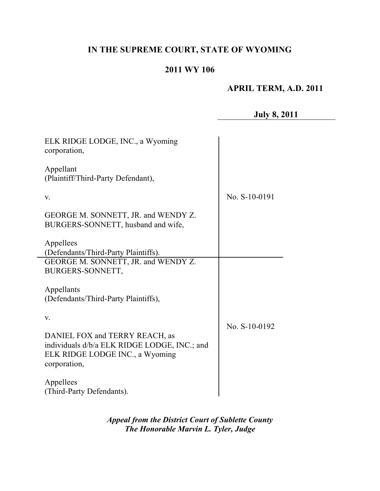# **IN THE SUPREME COURT, STATE OF WYOMING**

## **2011 WY 106**

# **APRIL TERM, A.D. 2011**

**July 8, 2011**

| ELK RIDGE LODGE, INC., a Wyoming<br>corporation,                                                                                  |               |
|-----------------------------------------------------------------------------------------------------------------------------------|---------------|
| Appellant<br>(Plaintiff/Third-Party Defendant),                                                                                   |               |
| V.                                                                                                                                | No. S-10-0191 |
| GEORGE M. SONNETT, JR. and WENDY Z.<br>BURGERS-SONNETT, husband and wife,                                                         |               |
| Appellees                                                                                                                         |               |
| (Defendants/Third-Party Plaintiffs).                                                                                              |               |
| GEORGE M. SONNETT, JR. and WENDY Z.<br>BURGERS-SONNETT,                                                                           |               |
| Appellants<br>(Defendants/Third-Party Plaintiffs),                                                                                |               |
| V.                                                                                                                                | No. S-10-0192 |
| DANIEL FOX and TERRY REACH, as<br>individuals d/b/a ELK RIDGE LODGE, INC.; and<br>ELK RIDGE LODGE INC., a Wyoming<br>corporation, |               |
| Appellees<br>(Third-Party Defendants).                                                                                            |               |

*Appeal from the District Court of Sublette County The Honorable Marvin L. Tyler, Judge*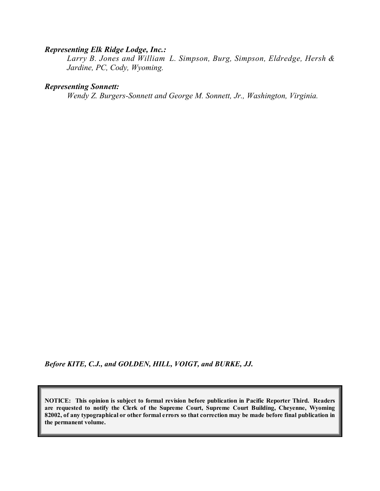#### *Representing Elk Ridge Lodge, Inc.:*

*Larry B. Jones and William L. Simpson, Burg, Simpson, Eldredge, Hersh & Jardine, PC, Cody, Wyoming.*

#### *Representing Sonnett:*

*Wendy Z. Burgers-Sonnett and George M. Sonnett, Jr., Washington, Virginia.*

*Before KITE, C.J., and GOLDEN, HILL, VOIGT, and BURKE, JJ.*

**NOTICE: This opinion is subject to formal revision before publication in Pacific Reporter Third. Readers are requested to notify the Clerk of the Supreme Court, Supreme Court Building, Cheyenne, Wyoming** 82002, of any typographical or other formal errors so that correction may be made before final publication in **the permanent volume.**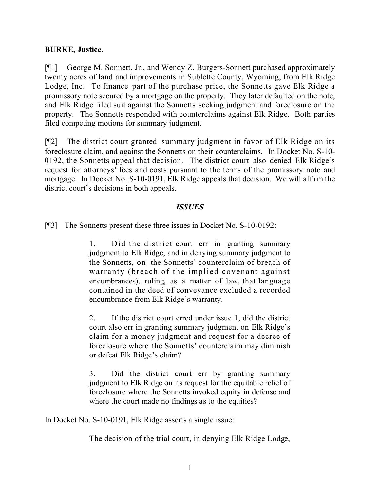### **BURKE, Justice.**

[¶1] George M. Sonnett, Jr., and Wendy Z. Burgers-Sonnett purchased approximately twenty acres of land and improvements in Sublette County, Wyoming, from Elk Ridge Lodge, Inc. To finance part of the purchase price, the Sonnetts gave Elk Ridge a promissory note secured by a mortgage on the property. They later defaulted on the note, and Elk Ridge filed suit against the Sonnetts seeking judgment and foreclosure on the property. The Sonnetts responded with counterclaims against Elk Ridge. Both parties filed competing motions for summary judgment.

[¶2] The district court granted summary judgment in favor of Elk Ridge on its foreclosure claim, and against the Sonnetts on their counterclaims. In Docket No. S-10- 0192, the Sonnetts appeal that decision. The district court also denied Elk Ridge's request for attorneys' fees and costs pursuant to the terms of the promissory note and mortgage. In Docket No. S-10-0191, Elk Ridge appeals that decision. We will affirm the district court's decisions in both appeals.

#### *ISSUES*

[¶3] The Sonnetts present these three issues in Docket No. S-10-0192:

1. Did the district court err in granting summary judgment to Elk Ridge, and in denying summary judgment to the Sonnetts, on the Sonnetts' counterclaim of breach of warranty (breach of the implied covenant against encumbrances), ruling, as a matter of law, that language contained in the deed of conveyance excluded a recorded encumbrance from Elk Ridge's warranty.

2. If the district court erred under issue 1, did the district court also err in granting summary judgment on Elk Ridge's claim for a money judgment and request for a decree of foreclosure where the Sonnetts' counterclaim may diminish or defeat Elk Ridge's claim?

3. Did the district court err by granting summary judgment to Elk Ridge on its request for the equitable relief of foreclosure where the Sonnetts invoked equity in defense and where the court made no findings as to the equities?

In Docket No. S-10-0191, Elk Ridge asserts a single issue:

The decision of the trial court, in denying Elk Ridge Lodge,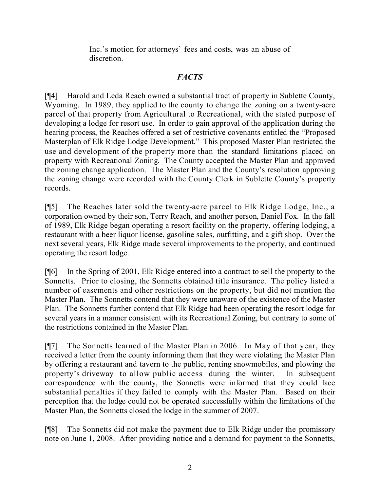Inc.'s motion for attorneys' fees and costs, was an abuse of discretion.

## *FACTS*

[¶4] Harold and Leda Reach owned a substantial tract of property in Sublette County, Wyoming. In 1989, they applied to the county to change the zoning on a twenty-acre parcel of that property from Agricultural to Recreational, with the stated purpose of developing a lodge for resort use. In order to gain approval of the application during the hearing process, the Reaches offered a set of restrictive covenants entitled the "Proposed Masterplan of Elk Ridge Lodge Development." This proposed Master Plan restricted the use and development of the property more than the standard limitations placed on property with Recreational Zoning. The County accepted the Master Plan and approved the zoning change application. The Master Plan and the County's resolution approving the zoning change were recorded with the County Clerk in Sublette County's property records.

[¶5] The Reaches later sold the twenty-acre parcel to Elk Ridge Lodge, Inc., a corporation owned by their son, Terry Reach, and another person, Daniel Fox. In the fall of 1989, Elk Ridge began operating a resort facility on the property, offering lodging, a restaurant with a beer liquor license, gasoline sales, outfitting, and a gift shop. Over the next several years, Elk Ridge made several improvements to the property, and continued operating the resort lodge.

[¶6] In the Spring of 2001, Elk Ridge entered into a contract to sell the property to the Sonnetts. Prior to closing, the Sonnetts obtained title insurance. The policy listed a number of easements and other restrictions on the property, but did not mention the Master Plan. The Sonnetts contend that they were unaware of the existence of the Master Plan. The Sonnetts further contend that Elk Ridge had been operating the resort lodge for several years in a manner consistent with its Recreational Zoning, but contrary to some of the restrictions contained in the Master Plan.

[¶7] The Sonnetts learned of the Master Plan in 2006. In May of that year, they received a letter from the county informing them that they were violating the Master Plan by offering a restaurant and tavern to the public, renting snowmobiles, and plowing the property's driveway to allow public access during the winter. In subsequent correspondence with the county, the Sonnetts were informed that they could face substantial penalties if they failed to comply with the Master Plan. Based on their perception that the lodge could not be operated successfully within the limitations of the Master Plan, the Sonnetts closed the lodge in the summer of 2007.

[¶8] The Sonnetts did not make the payment due to Elk Ridge under the promissory note on June 1, 2008. After providing notice and a demand for payment to the Sonnetts,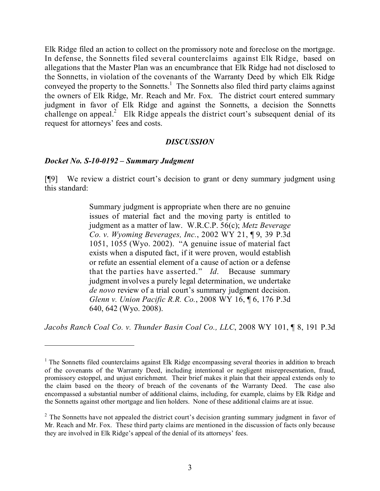Elk Ridge filed an action to collect on the promissory note and foreclose on the mortgage. In defense, the Sonnetts filed several counterclaims against Elk Ridge, based on allegations that the Master Plan was an encumbrance that Elk Ridge had not disclosed to the Sonnetts, in violation of the covenants of the Warranty Deed by which Elk Ridge conveyed the property to the Sonnetts.<sup>1</sup> The Sonnetts also filed third party claims against the owners of Elk Ridge, Mr. Reach and Mr. Fox. The district court entered summary judgment in favor of Elk Ridge and against the Sonnetts, a decision the Sonnetts challenge on appeal.<sup>2</sup> Elk Ridge appeals the district court's subsequent denial of its request for attorneys' fees and costs.

#### *DISCUSSION*

#### *Docket No. S-10-0192 – Summary Judgment*

[¶9] We review a district court's decision to grant or deny summary judgment using this standard:

> Summary judgment is appropriate when there are no genuine issues of material fact and the moving party is entitled to judgment as a matter of law. W.R.C.P. 56(c); *Metz Beverage Co. v. Wyoming Beverages, Inc.*, 2002 WY 21, ¶ 9, 39 P.3d 1051, 1055 (Wyo. 2002). "A genuine issue of material fact exists when a disputed fact, if it were proven, would establish or refute an essential element of a cause of action or a defense that the parties have asserted." *Id*. Because summary judgment involves a purely legal determination, we undertake *de novo* review of a trial court's summary judgment decision. *Glenn v. Union Pacific R.R. Co.*, 2008 WY 16, ¶ 6, 176 P.3d 640, 642 (Wyo. 2008).

*Jacobs Ranch Coal Co. v. Thunder Basin Coal Co., LLC*, 2008 WY 101, ¶ 8, 191 P.3d

<sup>&</sup>lt;sup>1</sup> The Sonnetts filed counterclaims against Elk Ridge encompassing several theories in addition to breach of the covenants of the Warranty Deed, including intentional or negligent misrepresentation, fraud, promissory estoppel, and unjust enrichment. Their brief makes it plain that their appeal extends only to the claim based on the theory of breach of the covenants of the Warranty Deed. The case also encompassed a substantial number of additional claims, including, for example, claims by Elk Ridge and the Sonnetts against other mortgage and lien holders. None of these additional claims are at issue.

<sup>&</sup>lt;sup>2</sup> The Sonnetts have not appealed the district court's decision granting summary judgment in favor of Mr. Reach and Mr. Fox. These third party claims are mentioned in the discussion of facts only because they are involved in Elk Ridge's appeal of the denial of its attorneys' fees.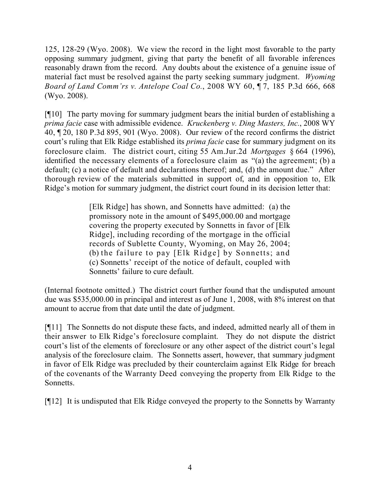125, 128-29 (Wyo. 2008). We view the record in the light most favorable to the party opposing summary judgment, giving that party the benefit of all favorable inferences reasonably drawn from the record. Any doubts about the existence of a genuine issue of material fact must be resolved against the party seeking summary judgment. *Wyoming Board of Land Comm'rs v. Antelope Coal Co.*, 2008 WY 60, ¶ 7, 185 P.3d 666, 668 (Wyo. 2008).

[¶10] The party moving for summary judgment bears the initial burden of establishing a *prima facie* case with admissible evidence. *Kruckenberg v. Ding Masters, Inc.*, 2008 WY 40, ¶ 20, 180 P.3d 895, 901 (Wyo. 2008). Our review of the record confirms the district court's ruling that Elk Ridge established its *prima facie* case for summary judgment on its foreclosure claim. The district court, citing 55 Am.Jur.2d *Mortgages* § 664 (1996), identified the necessary elements of a foreclosure claim as "(a) the agreement; (b) a default; (c) a notice of default and declarations thereof; and, (d) the amount due." After thorough review of the materials submitted in support of, and in opposition to, Elk Ridge's motion for summary judgment, the district court found in its decision letter that:

> [Elk Ridge] has shown, and Sonnetts have admitted: (a) the promissory note in the amount of \$495,000.00 and mortgage covering the property executed by Sonnetts in favor of [Elk Ridge], including recording of the mortgage in the official records of Sublette County, Wyoming, on May 26, 2004; (b) the failure to pay [Elk Ridge] by Sonnetts; and (c) Sonnetts' receipt of the notice of default, coupled with Sonnetts' failure to cure default.

(Internal footnote omitted.) The district court further found that the undisputed amount due was \$535,000.00 in principal and interest as of June 1, 2008, with 8% interest on that amount to accrue from that date until the date of judgment.

[¶11] The Sonnetts do not dispute these facts, and indeed, admitted nearly all of them in their answer to Elk Ridge's foreclosure complaint. They do not dispute the district court's list of the elements of foreclosure or any other aspect of the district court's legal analysis of the foreclosure claim. The Sonnetts assert, however, that summary judgment in favor of Elk Ridge was precluded by their counterclaim against Elk Ridge for breach of the covenants of the Warranty Deed conveying the property from Elk Ridge to the Sonnetts.

[¶12] It is undisputed that Elk Ridge conveyed the property to the Sonnetts by Warranty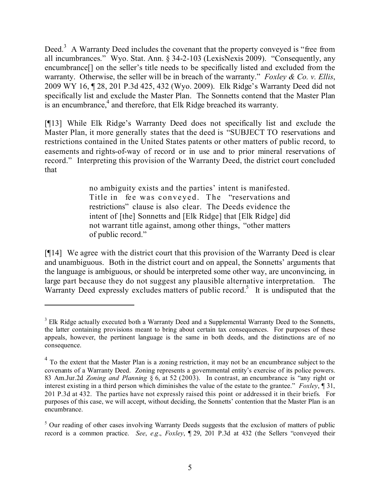Deed.<sup>3</sup> A Warranty Deed includes the covenant that the property conveyed is "free from all incumbrances." Wyo. Stat. Ann. § 34-2-103 (LexisNexis 2009). "Consequently, any encumbrance[] on the seller's title needs to be specifically listed and excluded from the warranty. Otherwise, the seller will be in breach of the warranty." *Foxley & Co. v. Ellis*, 2009 WY 16, ¶ 28, 201 P.3d 425, 432 (Wyo. 2009). Elk Ridge's Warranty Deed did not specifically list and exclude the Master Plan. The Sonnetts contend that the Master Plan is an encumbrance, $4$  and therefore, that Elk Ridge breached its warranty.

[¶13] While Elk Ridge's Warranty Deed does not specifically list and exclude the Master Plan, it more generally states that the deed is "SUBJECT TO reservations and restrictions contained in the United States patents or other matters of public record, to easements and rights-of-way of record or in use and to prior mineral reservations of record." Interpreting this provision of the Warranty Deed, the district court concluded that

> no ambiguity exists and the parties' intent is manifested. Title in fee was conveyed. The "reservations and restrictions" clause is also clear. The Deeds evidence the intent of [the] Sonnetts and [Elk Ridge] that [Elk Ridge] did not warrant title against, among other things, "other matters of public record."

[¶14] We agree with the district court that this provision of the Warranty Deed is clear and unambiguous. Both in the district court and on appeal, the Sonnetts' arguments that the language is ambiguous, or should be interpreted some other way, are unconvincing, in large part because they do not suggest any plausible alternative interpretation. The Warranty Deed expressly excludes matters of public record.<sup>5</sup> It is undisputed that the

<sup>&</sup>lt;sup>3</sup> Elk Ridge actually executed both a Warranty Deed and a Supplemental Warranty Deed to the Sonnetts, the latter containing provisions meant to bring about certain tax consequences. For purposes of these appeals, however, the pertinent language is the same in both deeds, and the distinctions are of no consequence.

 $4$  To the extent that the Master Plan is a zoning restriction, it may not be an encumbrance subject to the covenants of a Warranty Deed. Zoning represents a governmental entity's exercise of its police powers. 83 Am.Jur.2d *Zoning and Planning* § 6, at 52 (2003). In contrast, an encumbrance is "any right or interest existing in a third person which diminishes the value of the estate to the grantee." *Foxley*, ¶ 31, 201 P.3d at 432. The parties have not expressly raised this point or addressed it in their briefs. For purposes of this case, we will accept, without deciding, the Sonnetts' contention that the Master Plan is an encumbrance.

<sup>&</sup>lt;sup>5</sup> Our reading of other cases involving Warranty Deeds suggests that the exclusion of matters of public record is a common practice. *See*, *e*.*g*., *Foxley*, ¶ 29, 201 P.3d at 432 (the Sellers "conveyed their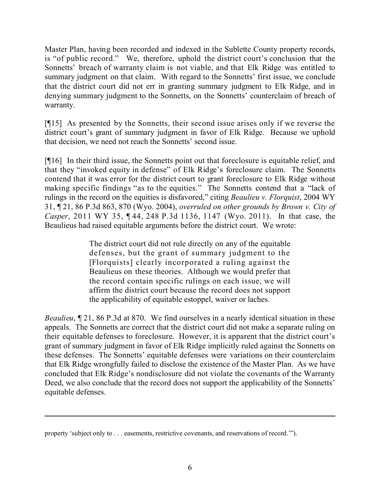Master Plan, having been recorded and indexed in the Sublette County property records, is "of public record." We, therefore, uphold the district court's conclusion that the Sonnetts' breach of warranty claim is not viable, and that Elk Ridge was entitled to summary judgment on that claim. With regard to the Sonnetts' first issue, we conclude that the district court did not err in granting summary judgment to Elk Ridge, and in denying summary judgment to the Sonnetts, on the Sonnetts' counterclaim of breach of warranty.

[¶15] As presented by the Sonnetts, their second issue arises only if we reverse the district court's grant of summary judgment in favor of Elk Ridge. Because we uphold that decision, we need not reach the Sonnetts' second issue.

[¶16] In their third issue, the Sonnetts point out that foreclosure is equitable relief, and that they "invoked equity in defense" of Elk Ridge's foreclosure claim. The Sonnetts contend that it was error for the district court to grant foreclosure to Elk Ridge without making specific findings "as to the equities." The Sonnetts contend that a "lack of rulings in the record on the equities is disfavored," citing *Beaulieu v. Florquist*, 2004 WY 31, ¶ 21, 86 P.3d 863, 870 (Wyo. 2004), *overruled on other grounds by Brown v. City of Casper*, 2011 WY 35, ¶ 44, 248 P.3d 1136, 1147 (Wyo. 2011). In that case, the Beaulieus had raised equitable arguments before the district court. We wrote:

> The district court did not rule directly on any of the equitable defenses, but the grant of summary judgment to the [Florquists] clearly incorporated a ruling against the Beaulieus on these theories. Although we would prefer that the record contain specific rulings on each issue, we will affirm the district court because the record does not support the applicability of equitable estoppel, waiver or laches.

*Beaulieu*, ¶ 21, 86 P.3d at 870. We find ourselves in a nearly identical situation in these appeals. The Sonnetts are correct that the district court did not make a separate ruling on their equitable defenses to foreclosure. However, it is apparent that the district court's grant of summary judgment in favor of Elk Ridge implicitly ruled against the Sonnetts on these defenses. The Sonnetts' equitable defenses were variations on their counterclaim that Elk Ridge wrongfully failed to disclose the existence of the Master Plan. As we have concluded that Elk Ridge's nondisclosure did not violate the covenants of the Warranty Deed, we also conclude that the record does not support the applicability of the Sonnetts' equitable defenses.

l

property 'subject only to . . . easements, restrictive covenants, and reservations of record.'").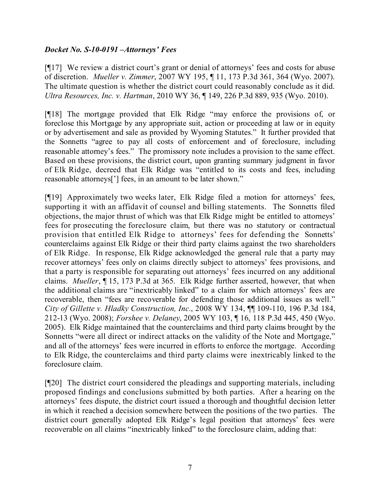### *Docket No. S-10-0191 –Attorneys' Fees*

[¶17] We review a district court's grant or denial of attorneys' fees and costs for abuse of discretion. *Mueller v. Zimmer*, 2007 WY 195, ¶ 11, 173 P.3d 361, 364 (Wyo. 2007). The ultimate question is whether the district court could reasonably conclude as it did. *Ultra Resources, Inc. v. Hartman*, 2010 WY 36, ¶ 149, 226 P.3d 889, 935 (Wyo. 2010).

[¶18] The mortgage provided that Elk Ridge "may enforce the provisions of, or foreclose this Mortgage by any appropriate suit, action or proceeding at law or in equity or by advertisement and sale as provided by Wyoming Statutes." It further provided that the Sonnetts "agree to pay all costs of enforcement and of foreclosure, including reasonable attorney's fees." The promissory note includes a provision to the same effect. Based on these provisions, the district court, upon granting summary judgment in favor of Elk Ridge, decreed that Elk Ridge was "entitled to its costs and fees, including reasonable attorneys['] fees, in an amount to be later shown."

[¶19] Approximately two weeks later, Elk Ridge filed a motion for attorneys' fees, supporting it with an affidavit of counsel and billing statements. The Sonnetts filed objections, the major thrust of which was that Elk Ridge might be entitled to attorneys' fees for prosecuting the foreclosure claim, but there was no statutory or contractual provision that entitled Elk Ridge to attorneys' fees for defending the Sonnetts' counterclaims against Elk Ridge or their third party claims against the two shareholders of Elk Ridge. In response, Elk Ridge acknowledged the general rule that a party may recover attorneys' fees only on claims directly subject to attorneys' fees provisions, and that a party is responsible for separating out attorneys' fees incurred on any additional claims. *Mueller*, ¶ 15, 173 P.3d at 365. Elk Ridge further asserted, however, that when the additional claims are "inextricably linked" to a claim for which attorneys' fees are recoverable, then "fees are recoverable for defending those additional issues as well." *City of Gillette v. Hladky Construction, Inc.*, 2008 WY 134, ¶¶ 109-110, 196 P.3d 184, 212-13 (Wyo. 2008); *Forshee v. Delaney*, 2005 WY 103, ¶ 16, 118 P.3d 445, 450 (Wyo. 2005). Elk Ridge maintained that the counterclaims and third party claims brought by the Sonnetts "were all direct or indirect attacks on the validity of the Note and Mortgage," and all of the attorneys' fees were incurred in efforts to enforce the mortgage. According to Elk Ridge, the counterclaims and third party claims were inextricably linked to the foreclosure claim.

[¶20] The district court considered the pleadings and supporting materials, including proposed findings and conclusions submitted by both parties. After a hearing on the attorneys' fees dispute, the district court issued a thorough and thoughtful decision letter in which it reached a decision somewhere between the positions of the two parties. The district court generally adopted Elk Ridge's legal position that attorneys' fees were recoverable on all claims "inextricably linked" to the foreclosure claim, adding that: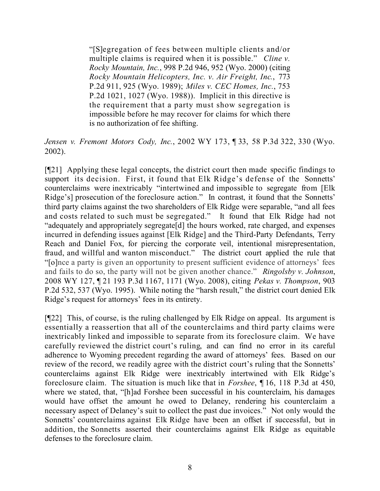"[S]egregation of fees between multiple clients and/or multiple claims is required when it is possible." *Cline v. Rocky Mountain, Inc.*, 998 P.2d 946, 952 (Wyo. 2000) (citing *Rocky Mountain Helicopters, Inc. v. Air Freight, Inc.*, 773 P.2d 911, 925 (Wyo. 1989); *Miles v. CEC Homes, Inc.*, 753 P.2d 1021, 1027 (Wyo. 1988)). Implicit in this directive is the requirement that a party must show segregation is impossible before he may recover for claims for which there is no authorization of fee shifting.

*Jensen v. Fremont Motors Cody, Inc.*, 2002 WY 173, ¶ 33, 58 P.3d 322, 330 (Wyo. 2002).

[¶21] Applying these legal concepts, the district court then made specific findings to support its decision. First, it found that Elk Ridge's defense of the Sonnetts' counterclaims were inextricably "intertwined and impossible to segregate from [Elk Ridge's] prosecution of the foreclosure action." In contrast, it found that the Sonnetts' third party claims against the two shareholders of Elk Ridge were separable, "and all fees and costs related to such must be segregated." It found that Elk Ridge had not "adequately and appropriately segregate[d] the hours worked, rate charged, and expenses incurred in defending issues against [Elk Ridge] and the Third-Party Defendants, Terry Reach and Daniel Fox, for piercing the corporate veil, intentional misrepresentation, fraud, and willful and wanton misconduct." The district court applied the rule that "[o]nce a party is given an opportunity to present sufficient evidence of attorneys' fees and fails to do so, the party will not be given another chance." *Ringolsby v. Johnson*, 2008 WY 127, ¶ 21 193 P.3d 1167, 1171 (Wyo. 2008), citing *Pekas v. Thompson*, 903 P.2d 532, 537 (Wyo. 1995). While noting the "harsh result," the district court denied Elk Ridge's request for attorneys' fees in its entirety.

[¶22] This, of course, is the ruling challenged by Elk Ridge on appeal. Its argument is essentially a reassertion that all of the counterclaims and third party claims were inextricably linked and impossible to separate from its foreclosure claim. We have carefully reviewed the district court's ruling, and can find no error in its careful adherence to Wyoming precedent regarding the award of attorneys' fees. Based on our review of the record, we readily agree with the district court's ruling that the Sonnetts' counterclaims against Elk Ridge were inextricably intertwined with Elk Ridge's foreclosure claim. The situation is much like that in *Forshee*, ¶ 16, 118 P.3d at 450, where we stated, that, "[h]ad Forshee been successful in his counterclaim, his damages would have offset the amount he owed to Delaney, rendering his counterclaim a necessary aspect of Delaney's suit to collect the past due invoices." Not only would the Sonnetts' counterclaims against Elk Ridge have been an offset if successful, but in addition, the Sonnetts asserted their counterclaims against Elk Ridge as equitable defenses to the foreclosure claim.